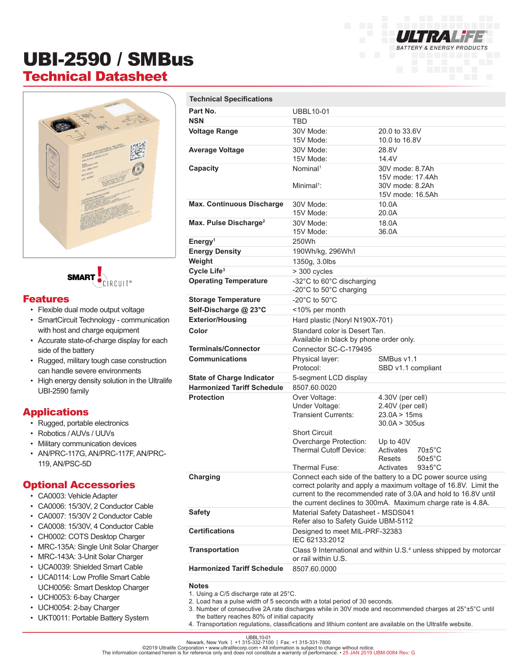# UBI-2590 / SMBus Technical Datasheet





### Features

- Flexible dual mode output voltage
- SmartCircuit Technology communication with host and charge equipment
- Accurate state-of-charge display for each side of the battery
- Rugged, military tough case construction can handle severe environments
- High energy density solution in the Ultralife UBI-2590 family

## Applications

- Rugged, portable electronics
- Robotics / AUVs / UUVs
- Military communication devices
- AN/PRC-117G, AN/PRC-117F, AN/PRC-119, AN/PSC-5D

#### Optional Accessories

- CA0003: Vehicle Adapter
- CA0006: 15/30V, 2 Conductor Cable
- CA0007: 15/30V 2 Conductor Cable
- CA0008: 15/30V, 4 Conductor Cable
- CH0002: COTS Desktop Charger
- MRC-135A: Single Unit Solar Charger
- MRC-143A: 3-Unit Solar Charger
- UCA0039: Shielded Smart Cable
- UCA0114: Low Profile Smart Cable UCH0056: Smart Desktop Charger
- UCH0053: 6-bay Charger
- UCH0054: 2-bay Charger
- UKT0011: Portable Battery System

| <b>Technical Specifications</b>   |                                                                                                                                                                                                                                                                   |                                     |
|-----------------------------------|-------------------------------------------------------------------------------------------------------------------------------------------------------------------------------------------------------------------------------------------------------------------|-------------------------------------|
| Part No.                          | <b>UBBL10-01</b>                                                                                                                                                                                                                                                  |                                     |
| <b>NSN</b>                        | <b>TBD</b>                                                                                                                                                                                                                                                        |                                     |
| <b>Voltage Range</b>              | 30V Mode:                                                                                                                                                                                                                                                         | 20.0 to 33.6V                       |
|                                   | 15V Mode:                                                                                                                                                                                                                                                         | 10.0 to 16.8V                       |
| <b>Average Voltage</b>            | 30V Mode:                                                                                                                                                                                                                                                         | 28.8V                               |
|                                   | 15V Mode:                                                                                                                                                                                                                                                         | 14.4V                               |
| Capacity                          | Nominal <sup>1</sup>                                                                                                                                                                                                                                              | 30V mode: 8.7Ah                     |
|                                   | Minimal <sup>1</sup> :                                                                                                                                                                                                                                            | 15V mode: 17.4Ah<br>30V mode: 8.2Ah |
|                                   |                                                                                                                                                                                                                                                                   | 15V mode: 16.5Ah                    |
| <b>Max. Continuous Discharge</b>  | 30V Mode:                                                                                                                                                                                                                                                         | 10.0A                               |
|                                   | 15V Mode:                                                                                                                                                                                                                                                         | 20.0A                               |
| Max. Pulse Discharge <sup>2</sup> | 30V Mode:                                                                                                                                                                                                                                                         | 18.0A                               |
|                                   | 15V Mode:                                                                                                                                                                                                                                                         | 36.0A                               |
| Energy <sup>1</sup>               | 250Wh                                                                                                                                                                                                                                                             |                                     |
| <b>Energy Density</b>             | 190Wh/kg, 296Wh/l                                                                                                                                                                                                                                                 |                                     |
| Weight                            | 1350g, 3.0lbs                                                                                                                                                                                                                                                     |                                     |
| Cycle Life <sup>3</sup>           | > 300 cycles                                                                                                                                                                                                                                                      |                                     |
| <b>Operating Temperature</b>      | -32°C to 60°C discharging                                                                                                                                                                                                                                         |                                     |
|                                   | -20°C to 50°C charging                                                                                                                                                                                                                                            |                                     |
| <b>Storage Temperature</b>        | -20 $^{\circ}$ C to 50 $^{\circ}$ C                                                                                                                                                                                                                               |                                     |
| Self-Discharge @ 23°C             | <10% per month                                                                                                                                                                                                                                                    |                                     |
| <b>Exterior/Housing</b>           | Hard plastic (Noryl N190X-701)                                                                                                                                                                                                                                    |                                     |
| Color                             | Standard color is Desert Tan.<br>Available in black by phone order only.                                                                                                                                                                                          |                                     |
| <b>Terminals/Connector</b>        | Connector SC-C-179495                                                                                                                                                                                                                                             |                                     |
| <b>Communications</b>             | Physical layer:<br>Protocol:                                                                                                                                                                                                                                      | SMBus v1.1<br>SBD v1.1 compliant    |
| <b>State of Charge Indicator</b>  | 5-segment LCD display                                                                                                                                                                                                                                             |                                     |
| <b>Harmonized Tariff Schedule</b> | 8507.60.0020                                                                                                                                                                                                                                                      |                                     |
| <b>Protection</b>                 | Over Voltage:                                                                                                                                                                                                                                                     | 4.30V (per cell)                    |
|                                   | Under Voltage:                                                                                                                                                                                                                                                    | 2.40V (per cell)                    |
|                                   | <b>Transient Currents:</b>                                                                                                                                                                                                                                        | 23.0A > 15ms<br>30.0A > 305us       |
|                                   | <b>Short Circuit</b>                                                                                                                                                                                                                                              |                                     |
|                                   | Overcharge Protection:                                                                                                                                                                                                                                            | Up to 40V                           |
|                                   | <b>Thermal Cutoff Device:</b>                                                                                                                                                                                                                                     | Activates<br>$70\pm5^{\circ}$ C     |
|                                   |                                                                                                                                                                                                                                                                   | $50 \pm 5^{\circ}$ C<br>Resets      |
|                                   | Thermal Fuse:                                                                                                                                                                                                                                                     | $93+5$ °C<br>Activates              |
| Charging                          | Connect each side of the battery to a DC power source using<br>correct polarity and apply a maximum voltage of 16.8V. Limit the<br>current to the recommended rate of 3.0A and hold to 16.8V until<br>the current declines to 300mA. Maximum charge rate is 4.8A. |                                     |
|                                   |                                                                                                                                                                                                                                                                   |                                     |
|                                   |                                                                                                                                                                                                                                                                   |                                     |
| <b>Safety</b>                     | Material Safety Datasheet - MSDS041                                                                                                                                                                                                                               |                                     |
|                                   | Refer also to Safety Guide UBM-5112                                                                                                                                                                                                                               |                                     |
| <b>Certifications</b>             | Designed to meet MIL-PRF-32383<br>IEC 62133:2012                                                                                                                                                                                                                  |                                     |
| <b>Transportation</b>             | Class 9 International and within U.S. <sup>4</sup> unless shipped by motorcar                                                                                                                                                                                     |                                     |
|                                   | or rail within U.S.                                                                                                                                                                                                                                               |                                     |
| <b>Harmonized Tariff Schedule</b> | 8507.60.0000                                                                                                                                                                                                                                                      |                                     |
|                                   |                                                                                                                                                                                                                                                                   |                                     |

**BATTERY & ENERGY PRODUCTS** 

**Notes**

- 1. Using a C/5 discharge rate at 25°C.
- 2. Load has a pulse width of 5 seconds with a total period of 30 seconds.
- 3. Number of consecutive 2A rate discharges while in 30V mode and recommended charges at 25°±5°C until the battery reaches 80% of initial capacity
- 4. Transportation regulations, classifications and lithium content are available on the Ultralife website.

UBBL10-01<br>Newark, New York | +1 315-332-7100 | Fax: +1 315-331-7800<br>The information contained herein is for reference only and does not constitute a warranty of performance. • 25 JAN 2019 UBM-0084 Rev: G<br>The information co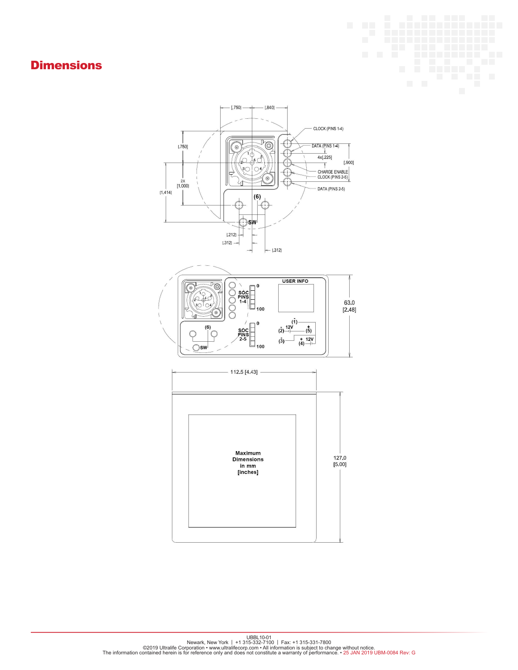## **Dimensions**